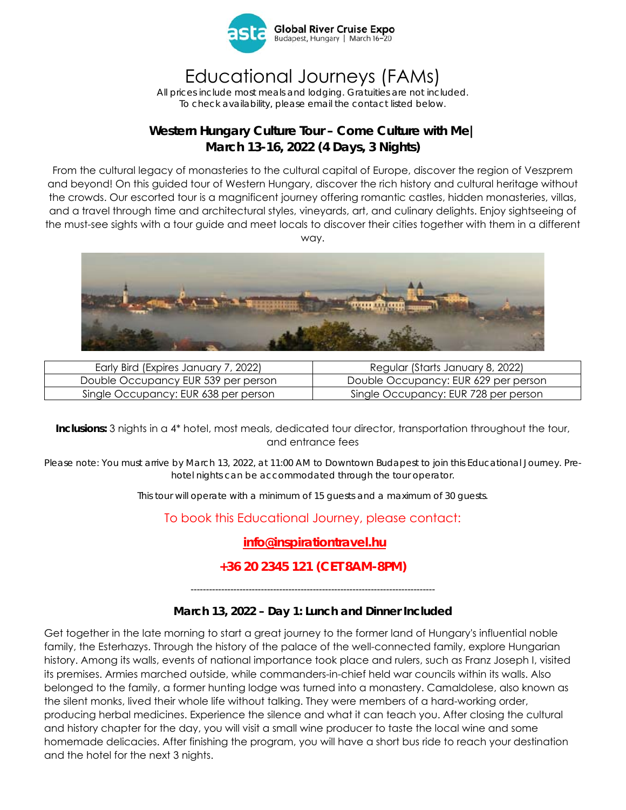

# Educational Journeys (FAMs)

*All prices include most meals and lodging. Gratuities are not included. To check availability, please email the contact listed below.* 

## **Western Hungary Culture Tour – Come Culture with Me| March 13-16, 2022 (4 Days, 3 Nights)**

From the cultural legacy of monasteries to the cultural capital of Europe, discover the region of Veszprem and beyond! On this guided tour of Western Hungary, discover the rich history and cultural heritage without the crowds. Our escorted tour is a magnificent journey offering romantic castles, hidden monasteries, villas, and a travel through time and architectural styles, vineyards, art, and culinary delights. Enjoy sightseeing of the must-see sights with a tour guide and meet locals to discover their cities together with them in a different way.



| Early Bird (Expires January 7, 2022) | Regular (Starts January 8, 2022)     |
|--------------------------------------|--------------------------------------|
| Double Occupancy EUR 539 per person  | Double Occupancy: EUR 629 per person |
| Single Occupancy: EUR 638 per person | Single Occupancy: EUR 728 per person |

#### **Inclusions:** 3 nights in a 4\* hotel, most meals, dedicated tour director, transportation throughout the tour, and entrance fees

*Please note: You must arrive by March 13, 2022, at 11:00 AM to Downtown Budapest to join this Educational Journey. Prehotel nights can be accommodated through the tour operator.* 

*This tour will operate with a minimum of 15 guests and a maximum of 30 guests.* 

To book this Educational Journey, please contact:

# **info@inspirationtravel.hu**

### **+36 20 2345 121 (CET 8AM-8PM)**

*--------------------------------------------------------------------------------* 

### **March 13, 2022 – Day 1: Lunch and Dinner Included**

Get together in the late morning to start a great journey to the former land of Hungary's influential noble family, the Esterhazys. Through the history of the palace of the well-connected family, explore Hungarian history. Among its walls, events of national importance took place and rulers, such as Franz Joseph I, visited its premises. Armies marched outside, while commanders-in-chief held war councils within its walls. Also belonged to the family, a former hunting lodge was turned into a monastery. Camaldolese, also known as the silent monks, lived their whole life without talking. They were members of a hard-working order, producing herbal medicines. Experience the silence and what it can teach you. After closing the cultural and history chapter for the day, you will visit a small wine producer to taste the local wine and some homemade delicacies. After finishing the program, you will have a short bus ride to reach your destination and the hotel for the next 3 nights.